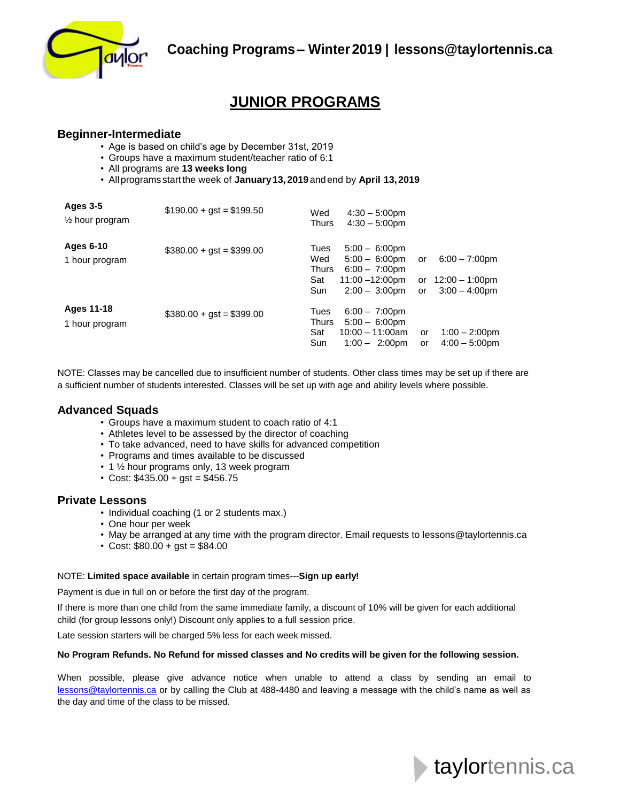

# **JUNIOR PROGRAMS**

### **Beginner-Intermediate**

- Age is based on child's age by December 31st, 2019
- Groups have a maximum student/teacher ratio of 6:1
- All programs are **13 weeks long**
- Allprograms start the week of **January13, 2019** andend by **April 13,2019**

| <b>Ages 3-5</b><br>$\frac{1}{2}$ hour program | $$190.00 + gst = $199.50$ | Wed<br><b>Thurs</b>                       | $4:30 - 5:00$ pm<br>$4:30 - 5:00$ pm                                                                                                  |                |                                                        |
|-----------------------------------------------|---------------------------|-------------------------------------------|---------------------------------------------------------------------------------------------------------------------------------------|----------------|--------------------------------------------------------|
| Ages 6-10<br>1 hour program                   | $$380.00 + gst = $399.00$ | Tues<br>Wed<br><b>Thurs</b><br>Sat<br>Sun | $5:00 - 6:00 \text{pm}$<br>$5:00 - 6:00 \text{pm}$<br>$6:00 - 7:00 \text{pm}$<br>$11:00 - 12:00 \text{pm}$<br>$2:00 - 3:00 \text{pm}$ | or<br>or<br>or | $6:00 - 7:00$ pm<br>12:00 - 1:00pm<br>$3:00 - 4:00$ pm |
| Ages 11-18<br>1 hour program                  | $$380.00 + gst = $399.00$ | Tues<br>Thurs<br>Sat<br>Sun               | $6:00 - 7:00 \text{pm}$<br>$5:00 - 6:00 \text{pm}$<br>$10:00 - 11:00$ am<br>$1:00 - 2:00$ pm                                          | or<br>or       | $1:00 - 2:00$ pm<br>$4:00 - 5:00$ pm                   |

NOTE: Classes may be cancelled due to insufficient number of students. Other class times may be set up if there are a sufficient number of students interested. Classes will be set up with age and ability levels where possible.

### **Advanced Squads**

- Groups have a maximum student to coach ratio of 4:1
- Athletes level to be assessed by the director of coaching
- To take advanced, need to have skills for advanced competition
- Programs and times available to be discussed
- 1 1/2 hour programs only, 13 week program
- Cost:  $$435.00 + g$ st =  $$456.75$

#### **Private Lessons**

- Individual coaching (1 or 2 students max.)
- One hour per week
- May be arranged at any time with the program director. Email requests to lessons@taylortennis.ca
- Cost:  $$80.00 + g$ st =  $$84.00$

#### NOTE: **Limited space available** in certain program times---**Sign up early!**

Payment is due in full on or before the first day of the program.

If there is more than one child from the same immediate family, a discount of 10% will be given for each additional child (for group lessons only!) Discount only applies to a full session price.

Late session starters will be charged 5% less for each week missed.

#### **No Program Refunds. No Refund for missed classes and No credits will be given for the following session.**

When possible, please give advance notice when unable to attend a class by sending an email to [lessons@taylortennis.ca](mailto:lessons@taylortennis.ca) or by calling the Club at 488-4480 and leaving a message with the child's name as well as the day and time of the class to be missed.